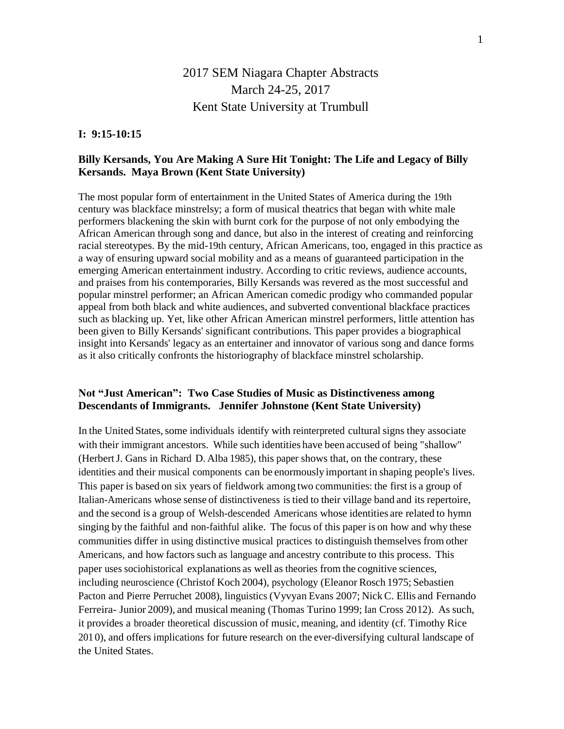# 2017 SEM Niagara Chapter Abstracts March 24-25, 2017 Kent State University at Trumbull

#### **I: 9:15-10:15**

# **Billy Kersands, You Are Making A Sure Hit Tonight: The Life and Legacy of Billy Kersands. Maya Brown (Kent State University)**

The most popular form of entertainment in the United States of America during the 19th century was blackface minstrelsy; a form of musical theatrics that began with white male performers blackening the skin with burnt cork for the purpose of not only embodying the African American through song and dance, but also in the interest of creating and reinforcing racial stereotypes. By the mid-19th century, African Americans, too, engaged in this practice as a way of ensuring upward social mobility and as a means of guaranteed participation in the emerging American entertainment industry. According to critic reviews, audience accounts, and praises from his contemporaries, Billy Kersands was revered as the most successful and popular minstrel performer; an African American comedic prodigy who commanded popular appeal from both black and white audiences, and subverted conventional blackface practices such as blacking up. Yet, like other African American minstrel performers, little attention has been given to Billy Kersands' significant contributions. This paper provides a biographical insight into Kersands' legacy as an entertainer and innovator of various song and dance forms as it also critically confronts the historiography of blackface minstrel scholarship.

## **Not "Just American": Two Case Studies of Music as Distinctiveness among Descendants of Immigrants. Jennifer Johnstone (Kent State University)**

In the United States, some individuals identify with reinterpreted cultural signs they associate with their immigrant ancestors. While such identities have been accused of being "shallow" (HerbertJ. Gans in Richard D. Alba 1985), this paper shows that, on the contrary, these identities and their musical components can be enormously important in shaping people's lives. This paper is based on six years of fieldwork among two communities: the first is a group of Italian-Americans whose sense of distinctiveness istied to their village band and its repertoire, and the second is a group of Welsh-descended Americans whose identities are related to hymn singing by the faithful and non-faithful alike. The focus of this paper is on how and why these communities differ in using distinctive musical practices to distinguish themselves from other Americans, and how factors such as language and ancestry contribute to this process. This paper uses sociohistorical explanations as well as theories from the cognitive sciences, including neuroscience (Christof Koch 2004), psychology (Eleanor Rosch 1975; Sebastien Pacton and Pierre Perruchet 2008), linguistics (Vyvyan Evans 2007; NickC. Ellis and Fernando Ferreira- Junior 2009), and musical meaning (Thomas Turino 1999; Ian Cross 2012). As such, it provides a broader theoretical discussion of music, meaning, and identity (cf. Timothy Rice 201 0), and offers implications for future research on the ever-diversifying cultural landscape of the United States.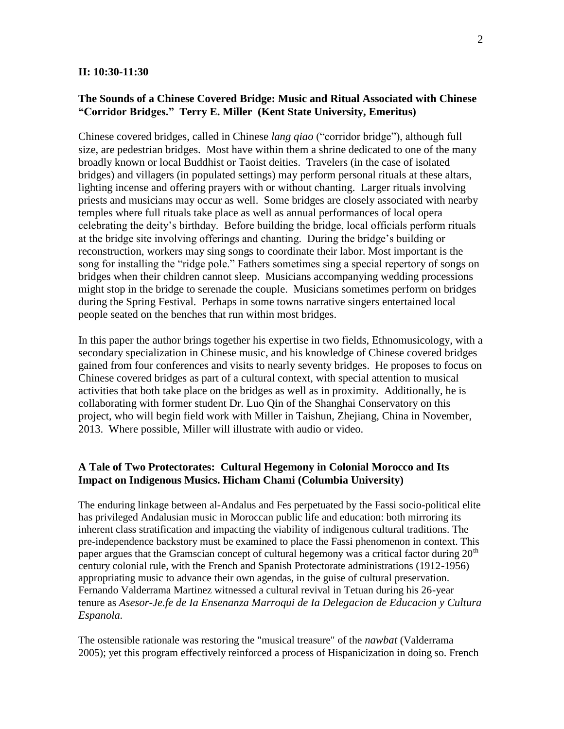#### **II: 10:30-11:30**

## **The Sounds of a Chinese Covered Bridge: Music and Ritual Associated with Chinese "Corridor Bridges." Terry E. Miller (Kent State University, Emeritus)**

Chinese covered bridges, called in Chinese *lang qiao* ("corridor bridge"), although full size, are pedestrian bridges. Most have within them a shrine dedicated to one of the many broadly known or local Buddhist or Taoist deities. Travelers (in the case of isolated bridges) and villagers (in populated settings) may perform personal rituals at these altars, lighting incense and offering prayers with or without chanting. Larger rituals involving priests and musicians may occur as well. Some bridges are closely associated with nearby temples where full rituals take place as well as annual performances of local opera celebrating the deity's birthday. Before building the bridge, local officials perform rituals at the bridge site involving offerings and chanting. During the bridge's building or reconstruction, workers may sing songs to coordinate their labor. Most important is the song for installing the "ridge pole." Fathers sometimes sing a special repertory of songs on bridges when their children cannot sleep. Musicians accompanying wedding processions might stop in the bridge to serenade the couple. Musicians sometimes perform on bridges during the Spring Festival. Perhaps in some towns narrative singers entertained local people seated on the benches that run within most bridges.

In this paper the author brings together his expertise in two fields, Ethnomusicology, with a secondary specialization in Chinese music, and his knowledge of Chinese covered bridges gained from four conferences and visits to nearly seventy bridges. He proposes to focus on Chinese covered bridges as part of a cultural context, with special attention to musical activities that both take place on the bridges as well as in proximity. Additionally, he is collaborating with former student Dr. Luo Qin of the Shanghai Conservatory on this project, who will begin field work with Miller in Taishun, Zhejiang, China in November, 2013. Where possible, Miller will illustrate with audio or video.

# **A Tale of Two Protectorates: Cultural Hegemony in Colonial Morocco and Its Impact on Indigenous Musics. Hicham Chami (Columbia University)**

The enduring linkage between al-Andalus and Fes perpetuated by the Fassi socio-political elite has privileged Andalusian music in Moroccan public life and education: both mirroring its inherent class stratification and impacting the viability of indigenous cultural traditions. The pre-independence backstory must be examined to place the Fassi phenomenon in context. This paper argues that the Gramscian concept of cultural hegemony was a critical factor during  $20<sup>th</sup>$ century colonial rule, with the French and Spanish Protectorate administrations (1912-1956) appropriating music to advance their own agendas, in the guise of cultural preservation. Fernando Valderrama Martinez witnessed a cultural revival in Tetuan during his 26-year tenure as *Asesor-Je.fe de Ia Ensenanza Marroqui de Ia Delegacion de Educacion y Cultura Espanola.*

The ostensible rationale was restoring the "musical treasure" of the *nawbat* (Valderrama 2005); yet this program effectively reinforced a process of Hispanicization in doing so. French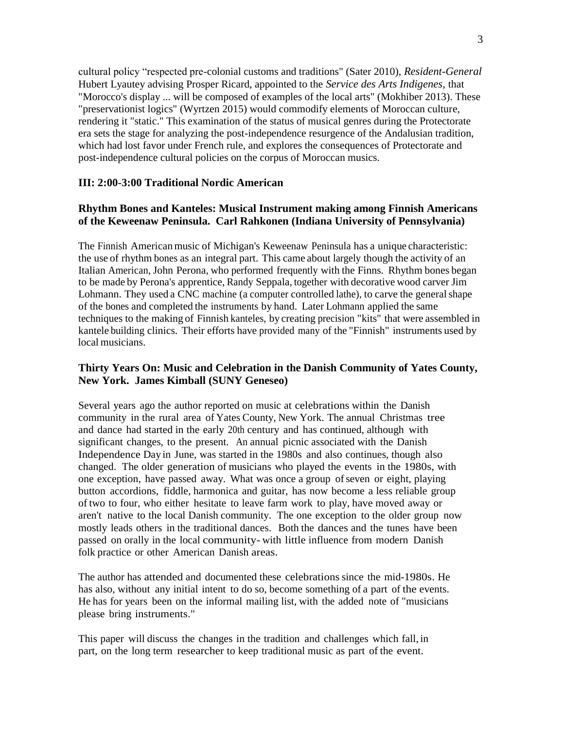cultural policy "respected pre-colonial customs and traditions" (Sater 2010), *Resident-General*  Hubert Lyautey advising Prosper Ricard, appointed to the *Service des Arts Indigenes,* that "Morocco's display ... will be composed of examples of the local arts" (Mokhiber 2013). These "preservationist logics" (Wyrtzen 2015) would commodify elements of Moroccan culture, rendering it "static." This examination of the status of musical genres during the Protectorate era sets the stage for analyzing the post-independence resurgence of the Andalusian tradition, which had lost favor under French rule, and explores the consequences of Protectorate and post-independence cultural policies on the corpus of Moroccan musics.

## **III: 2:00-3:00 Traditional Nordic American**

# **Rhythm Bones and Kanteles: Musical Instrument making among Finnish Americans of the Keweenaw Peninsula. Carl Rahkonen (Indiana University of Pennsylvania)**

The Finnish American music of Michigan's Keweenaw Peninsula has a unique characteristic: the use of rhythm bones as an integral part. This came about largely though the activity of an Italian American, John Perona, who performed frequently with the Finns. Rhythm bones began to be made by Perona's apprentice, Randy Seppala, together with decorative wood carver Jim Lohmann. They used a CNC machine (a computer controlled lathe), to carve the general shape of the bones and completed the instruments by hand. Later Lohmann applied the same techniques to the making of Finnish kanteles, by creating precision "kits" that were assembled in kantele building clinics. Their efforts have provided many of the "Finnish" instruments used by local musicians.

# **Thirty Years On: Music and Celebration in the Danish Community of Yates County, New York. James Kimball (SUNY Geneseo)**

Several years ago the author reported on music at celebrations within the Danish community in the rural area of Yates County, New York. The annual Christmas tree and dance had started in the early 20th century and has continued, although with significant changes, to the present. An annual picnic associated with the Danish Independence Day in June, was started in the 1980s and also continues, though also changed. The older generation of musicians who played the events in the 1980s, with one exception, have passed away. What was once a group of seven or eight, playing button accordions, fiddle, harmonica and guitar, has now become a less reliable group of two to four, who either hesitate to leave farm work to play, have moved away or aren't native to the local Danish community. The one exception to the older group now mostly leads others in the traditional dances. Both the dances and the tunes have been passed on orally in the local community- with little influence from modern Danish folk practice or other American Danish areas.

The author has attended and documented these celebrations since the mid-1980s. He has also, without any initial intent to do so, become something of a part of the events. He has for years been on the informal mailing list, with the added note of "musicians please bring instruments."

This paper will discuss the changes in the tradition and challenges which fall, in part, on the long term researcher to keep traditional music as part of the event.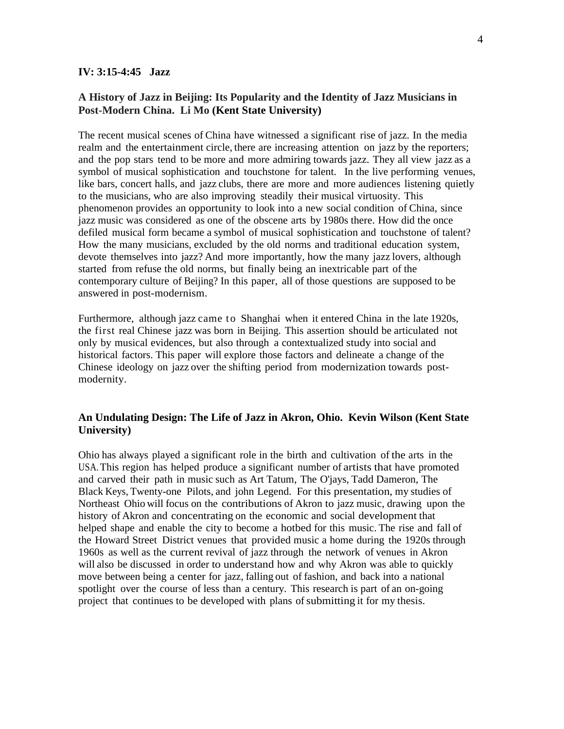#### **IV: 3:15-4:45 Jazz**

# **A History of Jazz in Beijing: Its Popularity and the Identity of Jazz Musicians in Post-Modern China. Li Mo (Kent State University)**

The recent musical scenes of China have witnessed a significant rise of jazz. In the media realm and the entertainment circle, there are increasing attention on jazz by the reporters; and the pop stars tend to be more and more admiring towards jazz. They all view jazz as a symbol of musical sophistication and touchstone for talent. In the live performing venues, like bars, concert halls, and jazz clubs, there are more and more audiences listening quietly to the musicians, who are also improving steadily their musical virtuosity. This phenomenon provides an opportunity to look into a new social condition of China, since jazz music was considered as one of the obscene arts by 1980s there. How did the once defiled musical form became a symbol of musical sophistication and touchstone of talent? How the many musicians, excluded by the old norms and traditional education system, devote themselves into jazz? And more importantly, how the many jazz lovers, although started from refuse the old norms, but finally being an inextricable part of the contemporary culture of Beijing? In this paper, all of those questions are supposed to be answered in post-modernism.

Furthermore, although jazz came to Shanghai when it entered China in the late 1920s, the first real Chinese jazz was born in Beijing. This assertion should be articulated not only by musical evidences, but also through a contextualized study into social and historical factors. This paper will explore those factors and delineate a change of the Chinese ideology on jazz over the shifting period from modernization towards postmodernity.

# **An Undulating Design: The Life of Jazz in Akron, Ohio. Kevin Wilson (Kent State University)**

Ohio has always played a significant role in the birth and cultivation of the arts in the USA.This region has helped produce a significant number of artists that have promoted and carved their path in music such as Art Tatum, The O'jays, Tadd Dameron, The Black Keys, Twenty-one Pilots, and john Legend. For this presentation, my studies of Northeast Ohio will focus on the contributions of Akron to jazz music, drawing upon the history of Akron and concentrating on the economic and social development that helped shape and enable the city to become a hotbed for this music. The rise and fall of the Howard Street District venues that provided music a home during the 1920s through 1960s as well as the current revival of jazz through the network of venues in Akron will also be discussed in order to understand how and why Akron was able to quickly move between being a center for jazz, falling out of fashion, and back into a national spotlight over the course of less than a century. This research is part of an on-going project that continues to be developed with plans ofsubmitting it for my thesis.